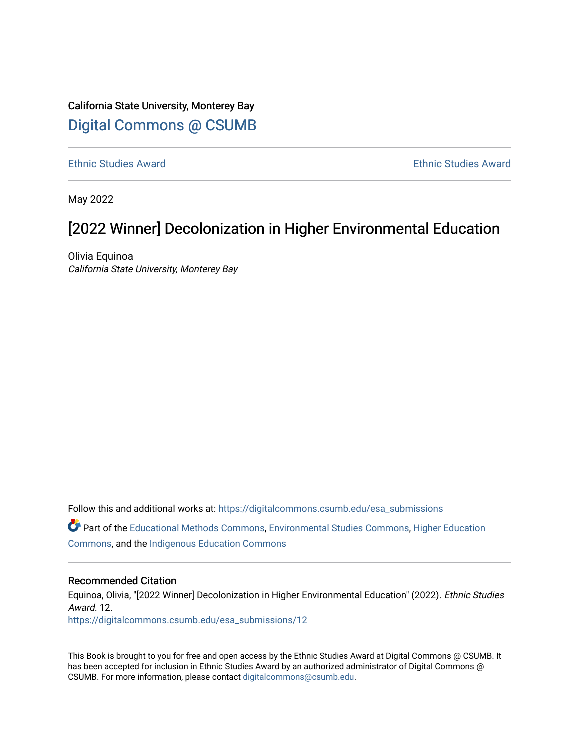# California State University, Monterey Bay [Digital Commons @ CSUMB](https://digitalcommons.csumb.edu/)

[Ethnic Studies Award](https://digitalcommons.csumb.edu/esa_submissions) [Ethnic Studies Award](https://digitalcommons.csumb.edu/ethnicstudiesaward) 

May 2022

# [2022 Winner] Decolonization in Higher Environmental Education

Olivia Equinoa California State University, Monterey Bay

Follow this and additional works at: [https://digitalcommons.csumb.edu/esa\\_submissions](https://digitalcommons.csumb.edu/esa_submissions?utm_source=digitalcommons.csumb.edu%2Fesa_submissions%2F12&utm_medium=PDF&utm_campaign=PDFCoverPages) Part of the [Educational Methods Commons,](https://network.bepress.com/hgg/discipline/1227?utm_source=digitalcommons.csumb.edu%2Fesa_submissions%2F12&utm_medium=PDF&utm_campaign=PDFCoverPages) [Environmental Studies Commons](https://network.bepress.com/hgg/discipline/1333?utm_source=digitalcommons.csumb.edu%2Fesa_submissions%2F12&utm_medium=PDF&utm_campaign=PDFCoverPages), [Higher Education](https://network.bepress.com/hgg/discipline/1245?utm_source=digitalcommons.csumb.edu%2Fesa_submissions%2F12&utm_medium=PDF&utm_campaign=PDFCoverPages)  [Commons](https://network.bepress.com/hgg/discipline/1245?utm_source=digitalcommons.csumb.edu%2Fesa_submissions%2F12&utm_medium=PDF&utm_campaign=PDFCoverPages), and the [Indigenous Education Commons](https://network.bepress.com/hgg/discipline/1379?utm_source=digitalcommons.csumb.edu%2Fesa_submissions%2F12&utm_medium=PDF&utm_campaign=PDFCoverPages) 

#### Recommended Citation

Equinoa, Olivia, "[2022 Winner] Decolonization in Higher Environmental Education" (2022). Ethnic Studies Award. 12. [https://digitalcommons.csumb.edu/esa\\_submissions/12](https://digitalcommons.csumb.edu/esa_submissions/12?utm_source=digitalcommons.csumb.edu%2Fesa_submissions%2F12&utm_medium=PDF&utm_campaign=PDFCoverPages) 

This Book is brought to you for free and open access by the Ethnic Studies Award at Digital Commons @ CSUMB. It has been accepted for inclusion in Ethnic Studies Award by an authorized administrator of Digital Commons @ CSUMB. For more information, please contact [digitalcommons@csumb.edu](mailto:digitalcommons@csumb.edu).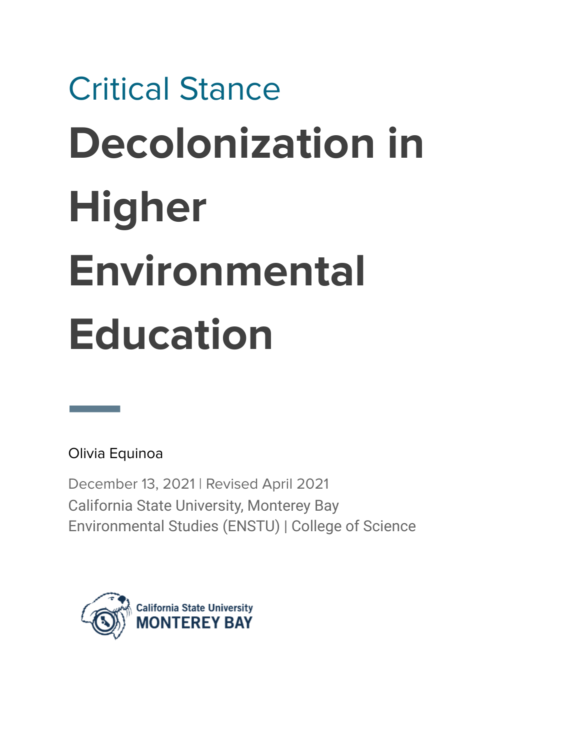# Critical Stance **Decolonization in Higher Environmental Education**

Olivia Equinoa

December 13, 2021 | Revised April 2021 California State University, Monterey Bay Environmental Studies (ENSTU) | College of Science

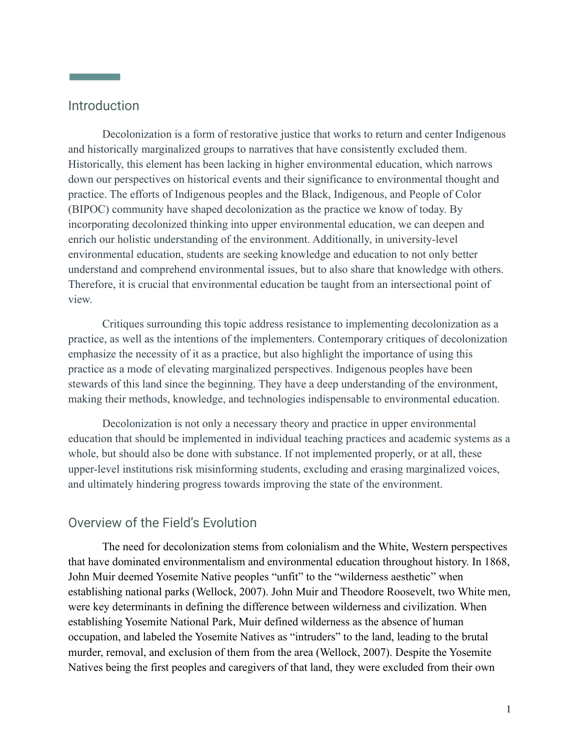# Introduction

**Contract Contract Contract** 

Decolonization is a form of restorative justice that works to return and center Indigenous and historically marginalized groups to narratives that have consistently excluded them. Historically, this element has been lacking in higher environmental education, which narrows down our perspectives on historical events and their significance to environmental thought and practice. The efforts of Indigenous peoples and the Black, Indigenous, and People of Color (BIPOC) community have shaped decolonization as the practice we know of today. By incorporating decolonized thinking into upper environmental education, we can deepen and enrich our holistic understanding of the environment. Additionally, in university-level environmental education, students are seeking knowledge and education to not only better understand and comprehend environmental issues, but to also share that knowledge with others. Therefore, it is crucial that environmental education be taught from an intersectional point of view.

Critiques surrounding this topic address resistance to implementing decolonization as a practice, as well as the intentions of the implementers. Contemporary critiques of decolonization emphasize the necessity of it as a practice, but also highlight the importance of using this practice as a mode of elevating marginalized perspectives. Indigenous peoples have been stewards of this land since the beginning. They have a deep understanding of the environment, making their methods, knowledge, and technologies indispensable to environmental education.

Decolonization is not only a necessary theory and practice in upper environmental education that should be implemented in individual teaching practices and academic systems as a whole, but should also be done with substance. If not implemented properly, or at all, these upper-level institutions risk misinforming students, excluding and erasing marginalized voices, and ultimately hindering progress towards improving the state of the environment.

## Overview of the Field's Evolution

The need for decolonization stems from colonialism and the White, Western perspectives that have dominated environmentalism and environmental education throughout history. In 1868, John Muir deemed Yosemite Native peoples "unfit" to the "wilderness aesthetic" when establishing national parks (Wellock, 2007). John Muir and Theodore Roosevelt, two White men, were key determinants in defining the difference between wilderness and civilization. When establishing Yosemite National Park, Muir defined wilderness as the absence of human occupation, and labeled the Yosemite Natives as "intruders" to the land, leading to the brutal murder, removal, and exclusion of them from the area (Wellock, 2007). Despite the Yosemite Natives being the first peoples and caregivers of that land, they were excluded from their own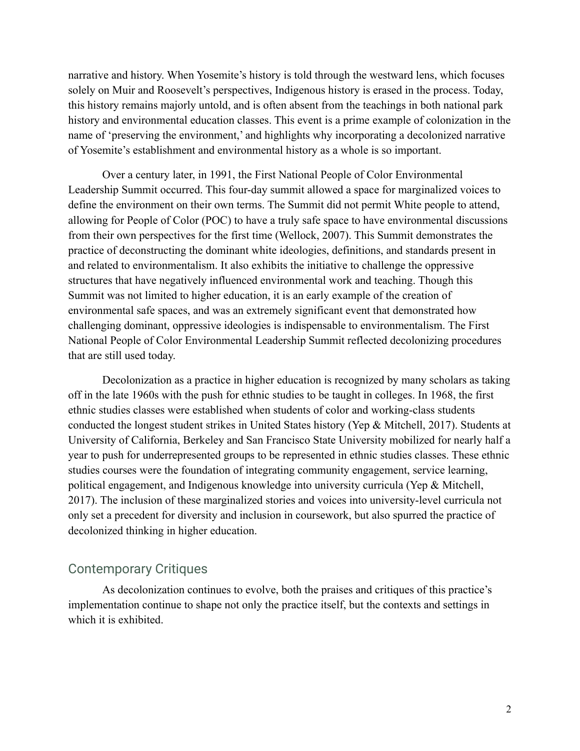narrative and history. When Yosemite's history is told through the westward lens, which focuses solely on Muir and Roosevelt's perspectives, Indigenous history is erased in the process. Today, this history remains majorly untold, and is often absent from the teachings in both national park history and environmental education classes. This event is a prime example of colonization in the name of 'preserving the environment,' and highlights why incorporating a decolonized narrative of Yosemite's establishment and environmental history as a whole is so important.

Over a century later, in 1991, the First National People of Color Environmental Leadership Summit occurred. This four-day summit allowed a space for marginalized voices to define the environment on their own terms. The Summit did not permit White people to attend, allowing for People of Color (POC) to have a truly safe space to have environmental discussions from their own perspectives for the first time (Wellock, 2007). This Summit demonstrates the practice of deconstructing the dominant white ideologies, definitions, and standards present in and related to environmentalism. It also exhibits the initiative to challenge the oppressive structures that have negatively influenced environmental work and teaching. Though this Summit was not limited to higher education, it is an early example of the creation of environmental safe spaces, and was an extremely significant event that demonstrated how challenging dominant, oppressive ideologies is indispensable to environmentalism. The First National People of Color Environmental Leadership Summit reflected decolonizing procedures that are still used today.

Decolonization as a practice in higher education is recognized by many scholars as taking off in the late 1960s with the push for ethnic studies to be taught in colleges. In 1968, the first ethnic studies classes were established when students of color and working-class students conducted the longest student strikes in United States history (Yep & Mitchell, 2017). Students at University of California, Berkeley and San Francisco State University mobilized for nearly half a year to push for underrepresented groups to be represented in ethnic studies classes. These ethnic studies courses were the foundation of integrating community engagement, service learning, political engagement, and Indigenous knowledge into university curricula (Yep & Mitchell, 2017). The inclusion of these marginalized stories and voices into university-level curricula not only set a precedent for diversity and inclusion in coursework, but also spurred the practice of decolonized thinking in higher education.

# Contemporary Critiques

As decolonization continues to evolve, both the praises and critiques of this practice's implementation continue to shape not only the practice itself, but the contexts and settings in which it is exhibited.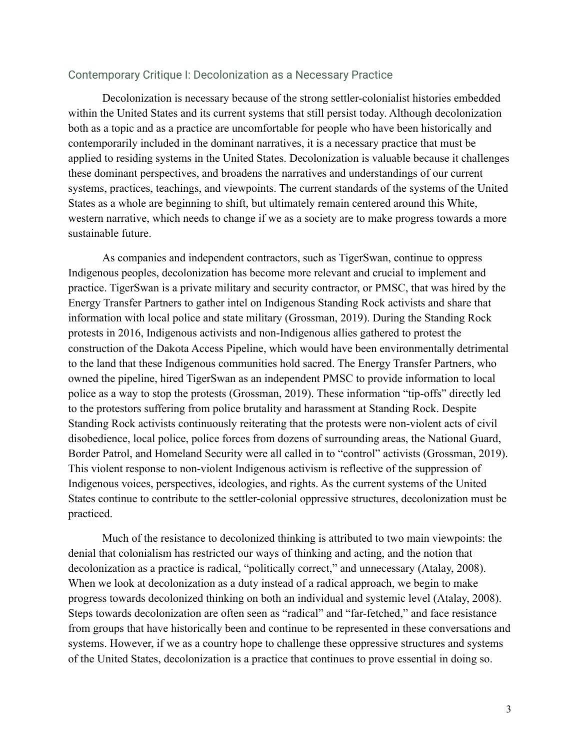#### Contemporary Critique I: Decolonization as a Necessary Practice

Decolonization is necessary because of the strong settler-colonialist histories embedded within the United States and its current systems that still persist today. Although decolonization both as a topic and as a practice are uncomfortable for people who have been historically and contemporarily included in the dominant narratives, it is a necessary practice that must be applied to residing systems in the United States. Decolonization is valuable because it challenges these dominant perspectives, and broadens the narratives and understandings of our current systems, practices, teachings, and viewpoints. The current standards of the systems of the United States as a whole are beginning to shift, but ultimately remain centered around this White, western narrative, which needs to change if we as a society are to make progress towards a more sustainable future.

As companies and independent contractors, such as TigerSwan, continue to oppress Indigenous peoples, decolonization has become more relevant and crucial to implement and practice. TigerSwan is a private military and security contractor, or PMSC, that was hired by the Energy Transfer Partners to gather intel on Indigenous Standing Rock activists and share that information with local police and state military (Grossman, 2019). During the Standing Rock protests in 2016, Indigenous activists and non-Indigenous allies gathered to protest the construction of the Dakota Access Pipeline, which would have been environmentally detrimental to the land that these Indigenous communities hold sacred. The Energy Transfer Partners, who owned the pipeline, hired TigerSwan as an independent PMSC to provide information to local police as a way to stop the protests (Grossman, 2019). These information "tip-offs" directly led to the protestors suffering from police brutality and harassment at Standing Rock. Despite Standing Rock activists continuously reiterating that the protests were non-violent acts of civil disobedience, local police, police forces from dozens of surrounding areas, the National Guard, Border Patrol, and Homeland Security were all called in to "control" activists (Grossman, 2019). This violent response to non-violent Indigenous activism is reflective of the suppression of Indigenous voices, perspectives, ideologies, and rights. As the current systems of the United States continue to contribute to the settler-colonial oppressive structures, decolonization must be practiced.

Much of the resistance to decolonized thinking is attributed to two main viewpoints: the denial that colonialism has restricted our ways of thinking and acting, and the notion that decolonization as a practice is radical, "politically correct," and unnecessary (Atalay, 2008). When we look at decolonization as a duty instead of a radical approach, we begin to make progress towards decolonized thinking on both an individual and systemic level (Atalay, 2008). Steps towards decolonization are often seen as "radical" and "far-fetched," and face resistance from groups that have historically been and continue to be represented in these conversations and systems. However, if we as a country hope to challenge these oppressive structures and systems of the United States, decolonization is a practice that continues to prove essential in doing so.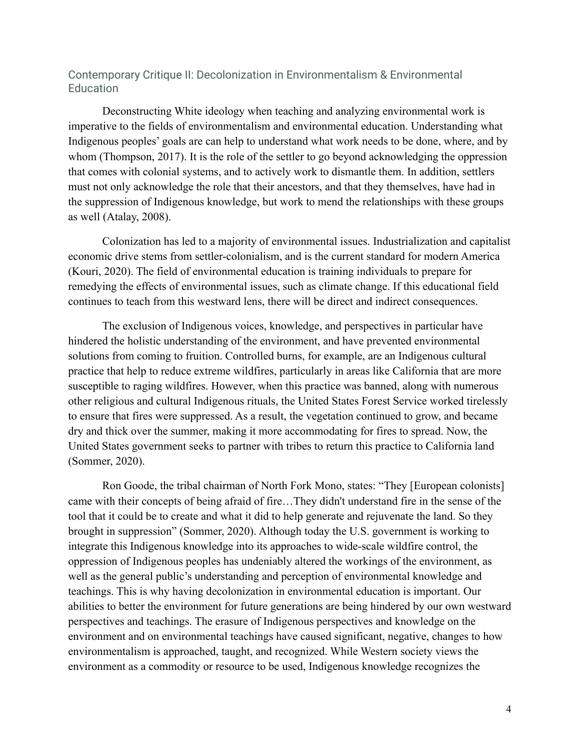#### Contemporary Critique II: Decolonization in Environmentalism & Environmental **Education**

Deconstructing White ideology when teaching and analyzing environmental work is imperative to the fields of environmentalism and environmental education. Understanding what Indigenous peoples' goals are can help to understand what work needs to be done, where, and by whom (Thompson, 2017). It is the role of the settler to go beyond acknowledging the oppression that comes with colonial systems, and to actively work to dismantle them. In addition, settlers must not only acknowledge the role that their ancestors, and that they themselves, have had in the suppression of Indigenous knowledge, but work to mend the relationships with these groups as well (Atalay, 2008).

Colonization has led to a majority of environmental issues. Industrialization and capitalist economic drive stems from settler-colonialism, and is the current standard for modern America (Kouri, 2020). The field of environmental education is training individuals to prepare for remedying the effects of environmental issues, such as climate change. If this educational field continues to teach from this westward lens, there will be direct and indirect consequences.

The exclusion of Indigenous voices, knowledge, and perspectives in particular have hindered the holistic understanding of the environment, and have prevented environmental solutions from coming to fruition. Controlled burns, for example, are an Indigenous cultural practice that help to reduce extreme wildfires, particularly in areas like California that are more susceptible to raging wildfires. However, when this practice was banned, along with numerous other religious and cultural Indigenous rituals, the United States Forest Service worked tirelessly to ensure that fires were suppressed. As a result, the vegetation continued to grow, and became dry and thick over the summer, making it more accommodating for fires to spread. Now, the United States government seeks to partner with tribes to return this practice to California land (Sommer, 2020).

Ron Goode, the tribal chairman of North Fork Mono, states: "They [European colonists] came with their concepts of being afraid of fire…They didn't understand fire in the sense of the tool that it could be to create and what it did to help generate and rejuvenate the land. So they brought in suppression" (Sommer, 2020). Although today the U.S. government is working to integrate this Indigenous knowledge into its approaches to wide-scale wildfire control, the oppression of Indigenous peoples has undeniably altered the workings of the environment, as well as the general public's understanding and perception of environmental knowledge and teachings. This is why having decolonization in environmental education is important. Our abilities to better the environment for future generations are being hindered by our own westward perspectives and teachings. The erasure of Indigenous perspectives and knowledge on the environment and on environmental teachings have caused significant, negative, changes to how environmentalism is approached, taught, and recognized. While Western society views the environment as a commodity or resource to be used, Indigenous knowledge recognizes the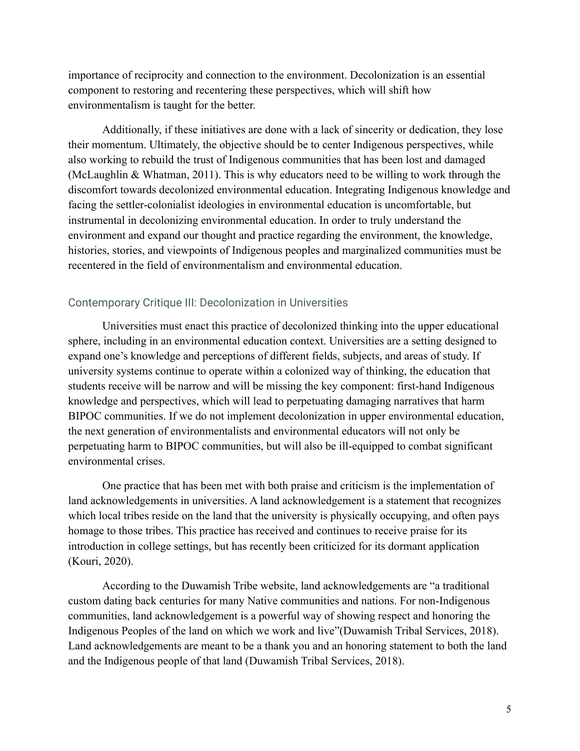importance of reciprocity and connection to the environment. Decolonization is an essential component to restoring and recentering these perspectives, which will shift how environmentalism is taught for the better.

Additionally, if these initiatives are done with a lack of sincerity or dedication, they lose their momentum. Ultimately, the objective should be to center Indigenous perspectives, while also working to rebuild the trust of Indigenous communities that has been lost and damaged (McLaughlin & Whatman, 2011). This is why educators need to be willing to work through the discomfort towards decolonized environmental education. Integrating Indigenous knowledge and facing the settler-colonialist ideologies in environmental education is uncomfortable, but instrumental in decolonizing environmental education. In order to truly understand the environment and expand our thought and practice regarding the environment, the knowledge, histories, stories, and viewpoints of Indigenous peoples and marginalized communities must be recentered in the field of environmentalism and environmental education.

#### Contemporary Critique III: Decolonization in Universities

Universities must enact this practice of decolonized thinking into the upper educational sphere, including in an environmental education context. Universities are a setting designed to expand one's knowledge and perceptions of different fields, subjects, and areas of study. If university systems continue to operate within a colonized way of thinking, the education that students receive will be narrow and will be missing the key component: first-hand Indigenous knowledge and perspectives, which will lead to perpetuating damaging narratives that harm BIPOC communities. If we do not implement decolonization in upper environmental education, the next generation of environmentalists and environmental educators will not only be perpetuating harm to BIPOC communities, but will also be ill-equipped to combat significant environmental crises.

One practice that has been met with both praise and criticism is the implementation of land acknowledgements in universities. A land acknowledgement is a statement that recognizes which local tribes reside on the land that the university is physically occupying, and often pays homage to those tribes. This practice has received and continues to receive praise for its introduction in college settings, but has recently been criticized for its dormant application (Kouri, 2020).

According to the Duwamish Tribe website, land acknowledgements are "a traditional custom dating back centuries for many Native communities and nations. For non-Indigenous communities, land acknowledgement is a powerful way of showing respect and honoring the Indigenous Peoples of the land on which we work and live"(Duwamish Tribal Services, 2018). Land acknowledgements are meant to be a thank you and an honoring statement to both the land and the Indigenous people of that land (Duwamish Tribal Services, 2018).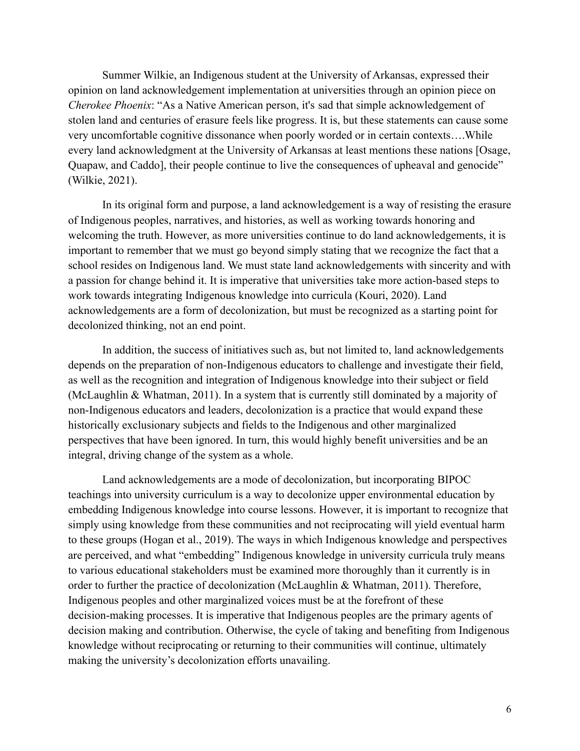Summer Wilkie, an Indigenous student at the University of Arkansas, expressed their opinion on land acknowledgement implementation at universities through an opinion piece on *Cherokee Phoenix*: "As a Native American person, it's sad that simple acknowledgement of stolen land and centuries of erasure feels like progress. It is, but these statements can cause some very uncomfortable cognitive dissonance when poorly worded or in certain contexts….While every land acknowledgment at the University of Arkansas at least mentions these nations [Osage, Quapaw, and Caddo], their people continue to live the consequences of upheaval and genocide" (Wilkie, 2021).

In its original form and purpose, a land acknowledgement is a way of resisting the erasure of Indigenous peoples, narratives, and histories, as well as working towards honoring and welcoming the truth. However, as more universities continue to do land acknowledgements, it is important to remember that we must go beyond simply stating that we recognize the fact that a school resides on Indigenous land. We must state land acknowledgements with sincerity and with a passion for change behind it. It is imperative that universities take more action-based steps to work towards integrating Indigenous knowledge into curricula (Kouri, 2020). Land acknowledgements are a form of decolonization, but must be recognized as a starting point for decolonized thinking, not an end point.

In addition, the success of initiatives such as, but not limited to, land acknowledgements depends on the preparation of non-Indigenous educators to challenge and investigate their field, as well as the recognition and integration of Indigenous knowledge into their subject or field (McLaughlin & Whatman, 2011). In a system that is currently still dominated by a majority of non-Indigenous educators and leaders, decolonization is a practice that would expand these historically exclusionary subjects and fields to the Indigenous and other marginalized perspectives that have been ignored. In turn, this would highly benefit universities and be an integral, driving change of the system as a whole.

Land acknowledgements are a mode of decolonization, but incorporating BIPOC teachings into university curriculum is a way to decolonize upper environmental education by embedding Indigenous knowledge into course lessons. However, it is important to recognize that simply using knowledge from these communities and not reciprocating will yield eventual harm to these groups (Hogan et al., 2019). The ways in which Indigenous knowledge and perspectives are perceived, and what "embedding" Indigenous knowledge in university curricula truly means to various educational stakeholders must be examined more thoroughly than it currently is in order to further the practice of decolonization (McLaughlin & Whatman, 2011). Therefore, Indigenous peoples and other marginalized voices must be at the forefront of these decision-making processes. It is imperative that Indigenous peoples are the primary agents of decision making and contribution. Otherwise, the cycle of taking and benefiting from Indigenous knowledge without reciprocating or returning to their communities will continue, ultimately making the university's decolonization efforts unavailing.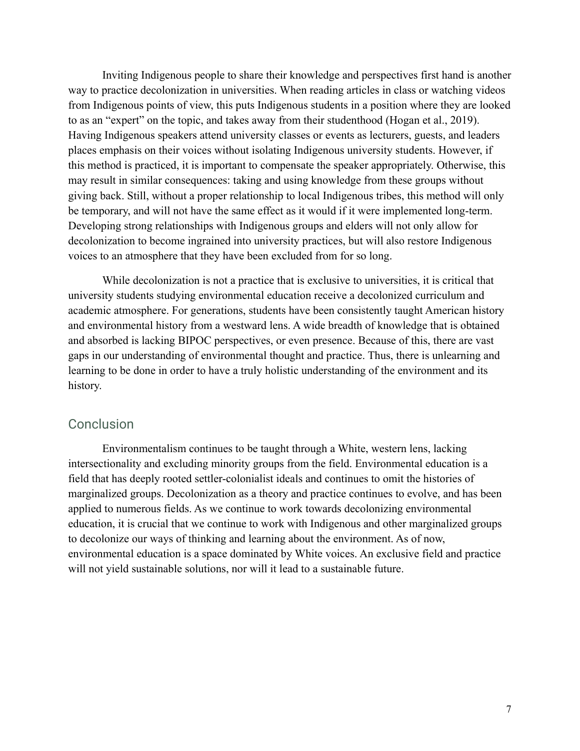Inviting Indigenous people to share their knowledge and perspectives first hand is another way to practice decolonization in universities. When reading articles in class or watching videos from Indigenous points of view, this puts Indigenous students in a position where they are looked to as an "expert" on the topic, and takes away from their studenthood (Hogan et al., 2019). Having Indigenous speakers attend university classes or events as lecturers, guests, and leaders places emphasis on their voices without isolating Indigenous university students. However, if this method is practiced, it is important to compensate the speaker appropriately. Otherwise, this may result in similar consequences: taking and using knowledge from these groups without giving back. Still, without a proper relationship to local Indigenous tribes, this method will only be temporary, and will not have the same effect as it would if it were implemented long-term. Developing strong relationships with Indigenous groups and elders will not only allow for decolonization to become ingrained into university practices, but will also restore Indigenous voices to an atmosphere that they have been excluded from for so long.

While decolonization is not a practice that is exclusive to universities, it is critical that university students studying environmental education receive a decolonized curriculum and academic atmosphere. For generations, students have been consistently taught American history and environmental history from a westward lens. A wide breadth of knowledge that is obtained and absorbed is lacking BIPOC perspectives, or even presence. Because of this, there are vast gaps in our understanding of environmental thought and practice. Thus, there is unlearning and learning to be done in order to have a truly holistic understanding of the environment and its history.

#### **Conclusion**

Environmentalism continues to be taught through a White, western lens, lacking intersectionality and excluding minority groups from the field. Environmental education is a field that has deeply rooted settler-colonialist ideals and continues to omit the histories of marginalized groups. Decolonization as a theory and practice continues to evolve, and has been applied to numerous fields. As we continue to work towards decolonizing environmental education, it is crucial that we continue to work with Indigenous and other marginalized groups to decolonize our ways of thinking and learning about the environment. As of now, environmental education is a space dominated by White voices. An exclusive field and practice will not yield sustainable solutions, nor will it lead to a sustainable future.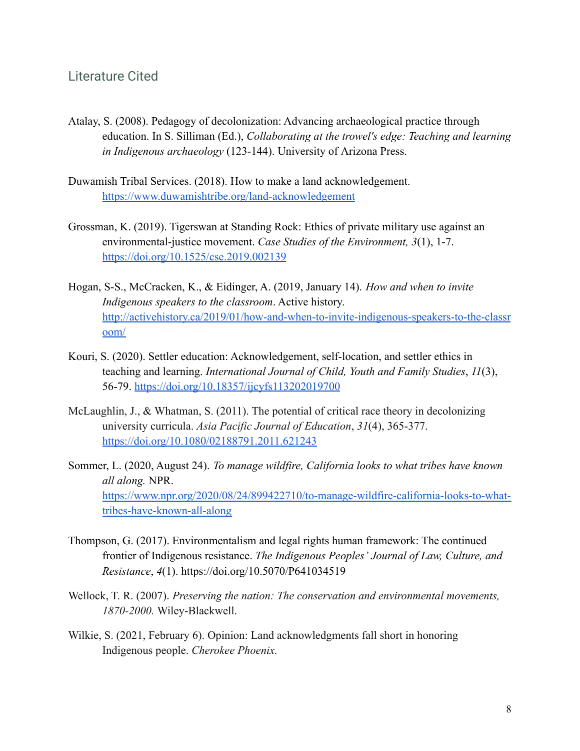### Literature Cited

- Atalay, S. (2008). Pedagogy of decolonization: Advancing archaeological practice through education. In S. Silliman (Ed.), *Collaborating at the trowel's edge: Teaching and learning in Indigenous archaeology* (123-144). University of Arizona Press.
- Duwamish Tribal Services. (2018). How to make a land acknowledgement. <https://www.duwamishtribe.org/land-acknowledgement>
- Grossman, K. (2019). Tigerswan at Standing Rock: Ethics of private military use against an environmental-justice movement. *Case Studies of the Environment, 3*(1), 1-7. <https://doi.org/10.1525/cse.2019.002139>
- Hogan, S-S., McCracken, K., & Eidinger, A. (2019, January 14). *How and when to invite Indigenous speakers to the classroom*. Active history. [http://activehistory.ca/2019/01/how-and-when-to-invite-indigenous-speakers-to-the-classr](http://activehistory.ca/2019/01/how-and-when-to-invite-indigenous-speakers-to-the-classroom/) [oom/](http://activehistory.ca/2019/01/how-and-when-to-invite-indigenous-speakers-to-the-classroom/)
- Kouri, S. (2020). Settler education: Acknowledgement, self-location, and settler ethics in teaching and learning. *International Journal of Child, Youth and Family Studies*, *11*(3), 56-79. <https://doi.org/10.18357/ijcyfs113202019700>
- McLaughlin, J., & Whatman, S. (2011). The potential of critical race theory in decolonizing university curricula. *Asia Pacific Journal of Education*, *31*(4), 365-377. <https://doi.org/10.1080/02188791.2011.621243>
- Sommer, L. (2020, August 24). *To manage wildfire, California looks to what tribes have known all along.* NPR. [https://www.npr.org/2020/08/24/899422710/to-manage-wildfire-california-looks-to-what](https://www.npr.org/2020/08/24/899422710/to-manage-wildfire-california-looks-to-what-tribes-have-known-all-along)[tribes-have-known-all-along](https://www.npr.org/2020/08/24/899422710/to-manage-wildfire-california-looks-to-what-tribes-have-known-all-along)
- Thompson, G. (2017). Environmentalism and legal rights human framework: The continued frontier of Indigenous resistance. *The Indigenous Peoples' Journal of Law, Culture, and Resistance*, *4*(1). https://doi.org/10.5070/P641034519
- Wellock, T. R. (2007). *Preserving the nation: The conservation and environmental movements, 1870-2000.* Wiley-Blackwell.
- Wilkie, S. (2021, February 6). Opinion: Land acknowledgments fall short in honoring Indigenous people. *Cherokee Phoenix.*